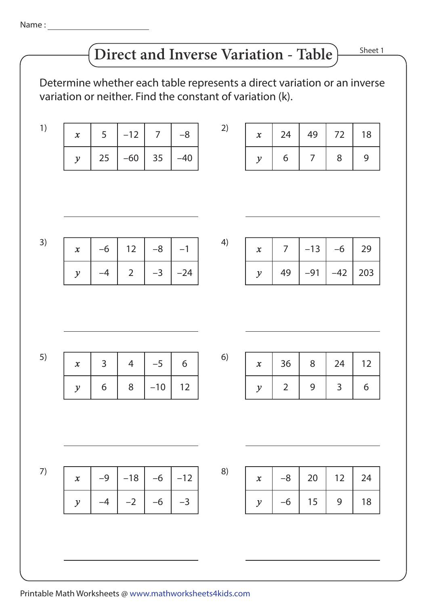Name :

# **Direct and Inverse Variation - Table**

Sheet 1

Determine whether each table represents a direct variation or an inverse variation or neither. Find the constant of variation (k).

|  | $-12$ 7                 | -8 |  |
|--|-------------------------|----|--|
|  | 25   $-60$   35   $-40$ |    |  |

| $\boldsymbol{\mathsf{x}}$ | 24 | 49 | 72 | 18 |
|---------------------------|----|----|----|----|
|                           | 6  |    | 8  |    |

| 3) | $\boldsymbol{\chi}$ | $-6$           | 12             | $-8$  | $-1$  | 4) | $\pmb{\chi}$               | $\overline{7}$ | $-13$       | $-6$        | 29  |
|----|---------------------|----------------|----------------|-------|-------|----|----------------------------|----------------|-------------|-------------|-----|
|    | $\mathcal{Y}$       | $-4$           | $\overline{2}$ | $-3$  | $-24$ |    | $\mathcal{Y}$              | 49             | $-91$       | $-42$       | 203 |
|    |                     |                |                |       |       |    |                            |                |             |             |     |
|    |                     |                |                |       |       |    |                            |                |             |             |     |
|    |                     |                |                |       |       |    |                            |                |             |             |     |
| 5) | $\boldsymbol{\chi}$ | $\overline{3}$ | $\overline{4}$ | $-5$  | 6     | 6) | $\boldsymbol{\mathcal{X}}$ | 36             | 8           | 24          | 12  |
|    | $\mathcal{Y}$       | 6              | 8              | $-10$ | 12    |    | $\mathcal Y$               | $\overline{2}$ | $\mathsf 9$ | 3           | 6   |
|    |                     |                |                |       |       |    |                            |                |             |             |     |
|    |                     |                |                |       |       |    |                            |                |             |             |     |
|    |                     |                |                |       |       |    |                            |                |             |             |     |
| 7) | $\boldsymbol{\chi}$ | $-9$           | $-18$          | $-6$  | $-12$ | 8) | $\pmb{\chi}$               | $-8$           | 20          | 12          | 24  |
|    | $\mathcal{Y}$       | $-4$           | $-2$           | $-6$  | $-3$  |    | $\mathcal Y$               | $-6$           | 15          | $\mathsf 9$ | 18  |
|    |                     |                |                |       |       |    |                            |                |             |             |     |